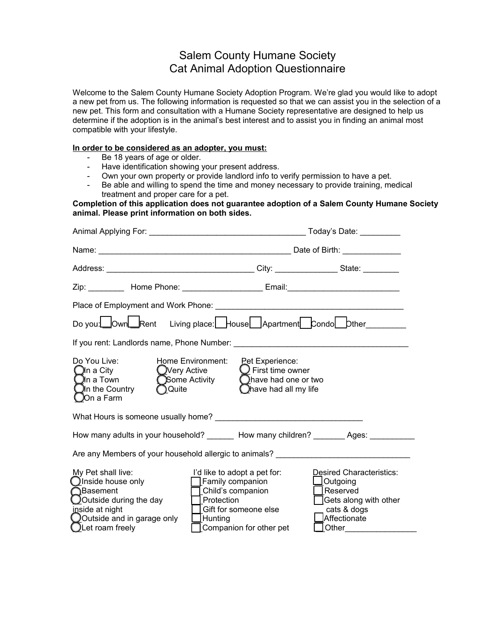## Salem County Humane Society Cat Animal Adoption Questionnaire

Welcome to the Salem County Humane Society Adoption Program. We're glad you would like to adopt a new pet from us. The following information is requested so that we can assist you in the selection of a new pet. This form and consultation with a Humane Society representative are designed to help us determine if the adoption is in the animal's best interest and to assist you in finding an animal most compatible with your lifestyle.

## **In order to be considered as an adopter, you must:**

- Be 18 years of age or older.
- Have identification showing your present address.
- Own your own property or provide landlord info to verify permission to have a pet.
- Be able and willing to spend the time and money necessary to provide training, medical treatment and proper care for a pet.

**Completion of this application does not guarantee adoption of a Salem County Humane Society animal. Please print information on both sides.**

| Zip: __________ Home Phone: ______________________ Email: ______________________                                                                                                   |                                                                                                                                                                  |                                                                                                                              |  |
|------------------------------------------------------------------------------------------------------------------------------------------------------------------------------------|------------------------------------------------------------------------------------------------------------------------------------------------------------------|------------------------------------------------------------------------------------------------------------------------------|--|
|                                                                                                                                                                                    |                                                                                                                                                                  |                                                                                                                              |  |
| Do you: Own Rent Living place: House Apartment Condo bther                                                                                                                         |                                                                                                                                                                  |                                                                                                                              |  |
|                                                                                                                                                                                    |                                                                                                                                                                  |                                                                                                                              |  |
| Do You Live:<br>Home Environment:<br>$\bigcirc$ In a City<br><b>OVery Active</b><br>Some Activity<br>$\Box$ In a Town<br>In the Country<br>◯ Quite<br>On a Farm                    | <b>Pet Experience:</b><br>$\bigcirc$ First time owner<br>Chave had one or two<br>Chave had all my life                                                           |                                                                                                                              |  |
|                                                                                                                                                                                    |                                                                                                                                                                  |                                                                                                                              |  |
| How many adults in your household? ________ How many children? ________ Ages: ________                                                                                             |                                                                                                                                                                  |                                                                                                                              |  |
| Are any Members of your household allergic to animals? _________________________                                                                                                   |                                                                                                                                                                  |                                                                                                                              |  |
| My Pet shall live:<br>$\bigcirc$ Inside house only<br>∩Basement<br>$\bigcirc$ Outside during the day<br>inside at night<br>Outside and in garage only<br>$\bigcup$ Let roam freely | I'd like to adopt a pet for:<br>Family companion<br>$\Box$ Child's companion<br>Protection<br>Gift for someone else<br>$\Box$ Hunting<br>Companion for other pet | <b>Desired Characteristics:</b><br>$\bigsqcup$ Outgoing<br>Reserved<br>Gets along with other<br>cats & dogs<br>_Affectionate |  |